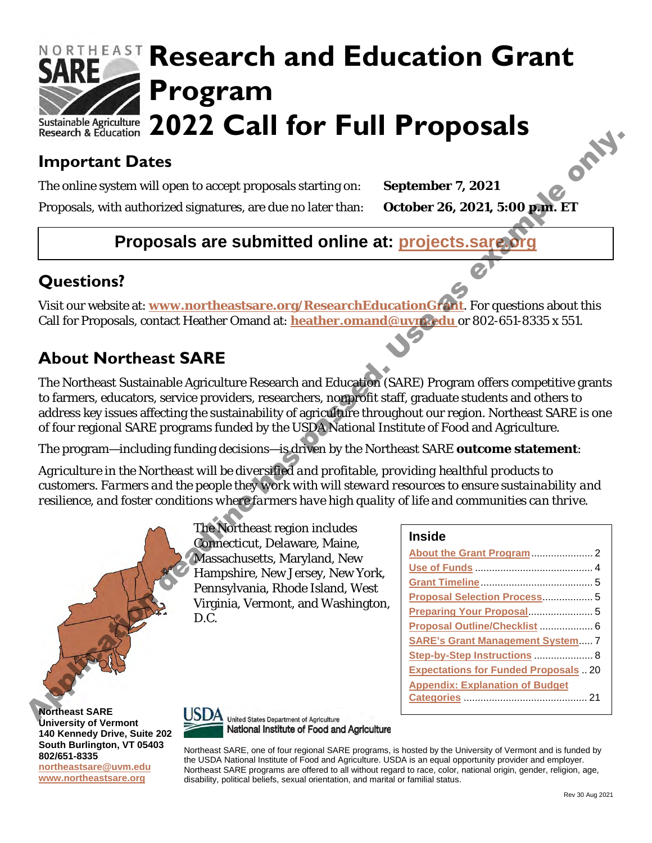

# **Important Dates**

The online system will open to accept proposals starting on: **September 7, 2021**

Proposals, with authorized signatures, are due no later than: **October 26, 2021, 5:00 p.m. ET**

# **Proposals are submitted online at: projects.sare.org**

# **Questions?**

Visit our website at: **www.northeastsare.org/ResearchEducationGrant**. For questions about this Call for Proposals, contact Heather Omand at: **heather.omand@uvm.edu** or 802-651-8335 x 551.

# **About Northeast SARE**

The Northeast Sustainable Agriculture Research and Education (SARE) Program offers competitive grants to farmers, educators, service providers, researchers, nonprofit staff, graduate students and others to address key issues affecting the sustainability of agriculture throughout our region. Northeast SARE is one of four regional SARE programs funded by the USDA National Institute of Food and Agriculture. Alexandria Date of the transmission dealing the state of the state of the state of the state of the state of the state of the state of the state of the state of the state of the state of the state of the state of the stat

The program—including funding decisions—is driven by the Northeast SARE **outcome statement**:

*Agriculture in the Northeast will be diversified and profitable, providing healthful products to customers. Farmers and the people they work with will steward resources to ensure sustainability and resilience, and foster conditions where farmers have high quality of life and communities can thrive.*

> The Northeast region includes Connecticut, Delaware, Maine, Massachusetts, Maryland, New Hampshire, New Jersey, New York, Pennsylvania, Rhode Island, West Virginia, Vermont, and Washington, D.C.

#### **Inside**

| Proposal Selection Process 5               |
|--------------------------------------------|
|                                            |
| Proposal Outline/Checklist  6              |
| <b>SARE's Grant Management System 7</b>    |
| Step-by-Step Instructions  8               |
| <b>Expectations for Funded Proposals20</b> |
| <b>Appendix: Explanation of Budget</b>     |
|                                            |
|                                            |

**Northeast SARE University of Vermont 140 Kennedy Drive, Suite 202 South Burlington, VT 05403 802/651-8335 [northeastsare@uvm.edu](mailto:northeastsare@uvm.edu) [www.northeastsare.org](http://www.northeastsare.org/)**



National Institute of Food and Agriculture

Northeast SARE, one of four regional SARE programs, is hosted by the University of Vermont and is funded by the USDA National Institute of Food and Agriculture. USDA is an equal opportunity provider and employer. Northeast SARE programs are offered to all without regard to race, color, national origin, gender, religion, age, disability, political beliefs, sexual orientation, and marital or familial status.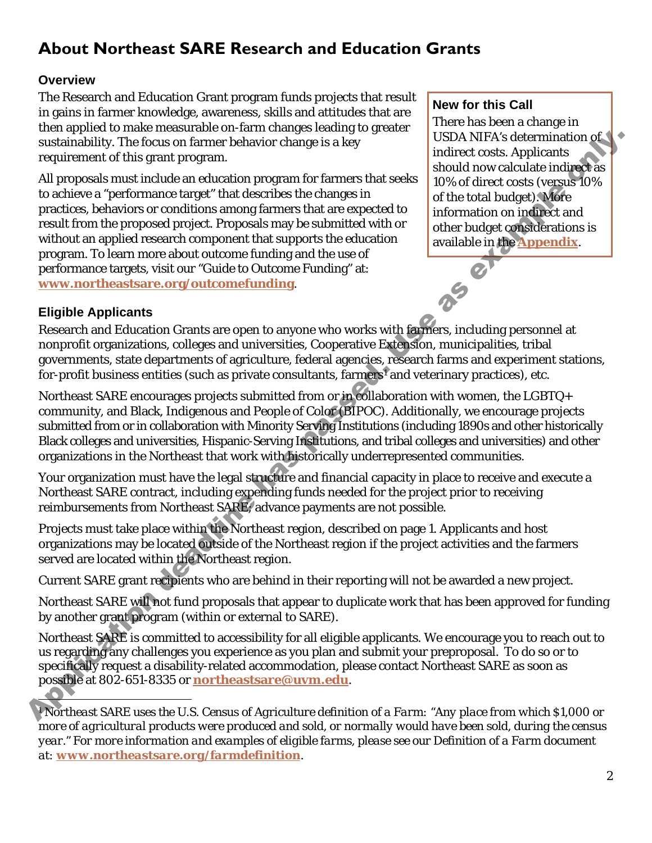# <span id="page-1-0"></span>**About Northeast SARE Research and Education Grants**

#### **Overview**

The Research and Education Grant program funds projects that result in gains in farmer knowledge, awareness, skills and attitudes that are then applied to make measurable on-farm changes leading to greater sustainability. The focus on farmer behavior change is a key requirement of this grant program.

All proposals must include an education program for farmers that seeks to achieve a "performance target" that describes the changes in practices, behaviors or conditions among farmers that are expected to result from the proposed project. Proposals may be submitted with or without an applied research component that supports the education program. To learn more about outcome funding and the use of performance targets, visit our "Guide to Outcome Funding" at: **www.northeastsare.org/outcomefunding**. sustainnum this grain to the sease on further and the project SAP and the structure of this grain response to the structure of the structure of the structure of the structure of the structure of the structure and the stru

#### **New for this Call**

There has been a change in USDA NIFA's determination of indirect costs. Applicants should now calculate indirect as 10% of direct costs (versus 10% of the total budget). More information on indirect and other budget considerations is available in the **Appendix**.

#### **Eligible Applicants**

Research and Education Grants are open to anyone who works with farmers, including personnel at nonprofit organizations, colleges and universities, Cooperative Extension, municipalities, tribal governments, state departments of agriculture, federal agencies, research farms and experiment stations, for-profit business entities (such as private consultants, farmers<sup>1</sup> and veterinary practices), etc.

Northeast SARE encourages projects submitted from or in collaboration with women, the LGBTQ+ community, and Black, Indigenous and People of Color (BIPOC). Additionally, we encourage projects submitted from or in collaboration with Minority Serving Institutions (including 1890s and other historically Black colleges and universities, Hispanic-Serving Institutions, and tribal colleges and universities) and other organizations in the Northeast that work with historically underrepresented communities.

Your organization must have the legal structure and financial capacity in place to receive and execute a Northeast SARE contract, including expending funds needed for the project prior to receiving reimbursements from Northeast SARE; advance payments are not possible.

Projects must take place within the Northeast region, described on page 1. Applicants and host organizations may be located outside of the Northeast region if the project activities and the farmers served are located within the Northeast region.

Current SARE grant recipients who are behind in their reporting will not be awarded a new project.

Northeast SARE will not fund proposals that appear to duplicate work that has been approved for funding by another grant program (within or external to SARE).

Northeast SARE is committed to accessibility for all eligible applicants. We encourage you to reach out to us regarding any challenges you experience as you plan and submit your preproposal. To do so or to specifically request a disability-related accommodation, please contact Northeast SARE as soon as possible at 802-651-8335 or **northeastsare@uvm.edu**.

<span id="page-1-1"></span>*<sup>1</sup> Northeast SARE uses the U.S. Census of Agriculture definition of a Farm: "Any place from which \$1,000 or more of agricultural products were produced and sold, or normally would have been sold, during the census year." For more information and examples of eligible farms, please see our Definition of a Farm document at: [www.northeastsare.org/farmdefinition](http://www.northeastsare.org/farmdefinition).*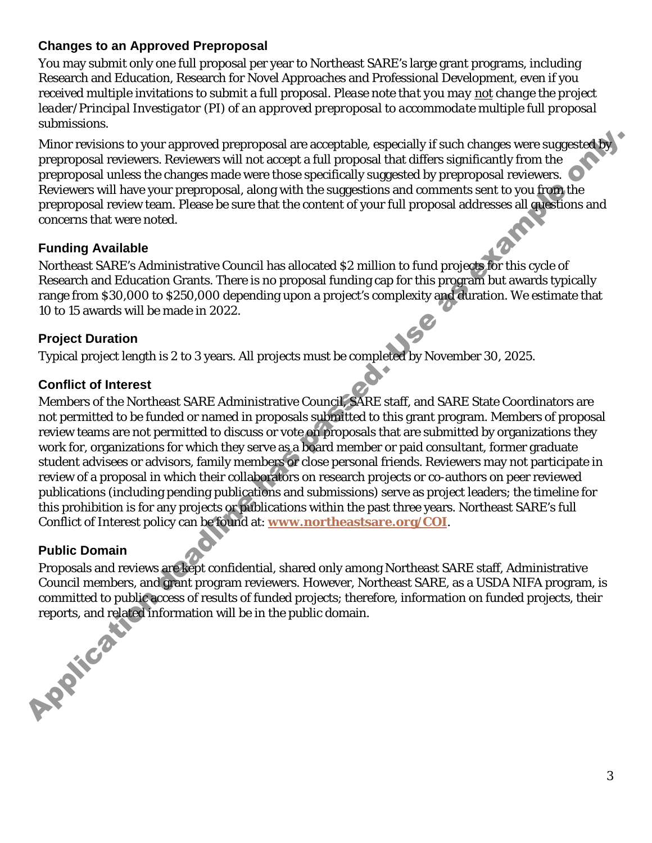#### **Changes to an Approved Preproposal**

You may submit only one full proposal per year to Northeast SARE's large grant programs, including Research and Education, Research for Novel Approaches and Professional Development, even if you received multiple invitations to submit a full proposal. *Please note that you may not change the project leader/Principal Investigator (PI) of an approved preproposal to accommodate multiple full proposal submissions.*

Minor revisions to your approved preproposal are acceptable, especially if such changes were suggested by preproposal reviewers. Reviewers will not accept a full proposal that differs significantly from the preproposal unless the changes made were those specifically suggested by preproposal reviewers. Reviewers will have your preproposal, along with the suggestions and comments sent to you from the preproposal review team. Please be sure that the content of your full proposal addresses all questions and concerns that were noted.

#### **Funding Available**

Northeast SARE's Administrative Council has allocated \$2 million to fund projects for this cycle of Research and Education Grants. There is no proposal funding cap for this program but awards typically range from \$30,000 to \$250,000 depending upon a project's complexity and duration. We estimate that 10 to 15 awards will be made in 2022.

#### **Project Duration**

Typical project length is 2 to 3 years. All projects must be completed by November 30, 2025.

#### **Conflict of Interest**

Members of the Northeast SARE Administrative Council, SARE staff, and SARE State Coordinators are not permitted to be funded or named in proposals submitted to this grant program. Members of proposal review teams are not permitted to discuss or vote on proposals that are submitted by organizations they work for, organizations for which they serve as a board member or paid consultant, former graduate student advisees or advisors, family members or close personal friends. Reviewers may not participate in review of a proposal in which their collaborators on research projects or co-authors on peer reviewed publications (including pending publications and submissions) serve as project leaders; the timeline for this prohibition is for any projects or publications within the past three years. Northeast SARE's full Conflict of Interest policy can be found at: **www.northeastsare.org/COI**. Minner revisions to your approved preproposal are acceptable especially if such changes were suggested.<br>By proposal at mini-to character will rois comptain the difference of the proposal at the<br>strongen and most the tenso

### **Public Domain**

Proposals and reviews are kept confidential, shared only among Northeast SARE staff, Administrative Council members, and grant program reviewers. However, Northeast SARE, as a USDA NIFA program, is committed to public access of results of funded projects; therefore, information on funded projects, their reports, and related information will be in the public domain.

3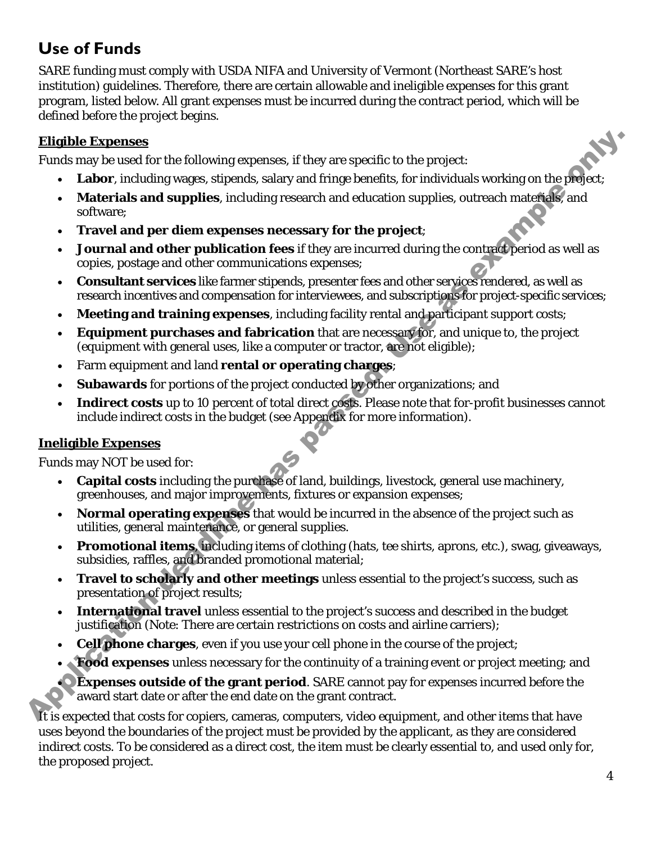# **Use of Funds**

SARE funding must comply with USDA NIFA and University of Vermont (Northeast SARE's host institution) guidelines. Therefore, there are certain allowable and ineligible expenses for this grant program, listed below. All grant expenses must be incurred during the contract period, which will be defined before the project begins.

#### **Eligible Expenses**

Funds may be used for the following expenses, if they are specific to the project:

- **Labor**, including wages, stipends, salary and fringe benefits, for individuals working on the project;
- **Materials and supplies**, including research and education supplies, outreach materials, and software;
- **Travel and per diem expenses necessary for the project**;
- **Journal and other publication fees** if they are incurred during the contract period as well as copies, postage and other communications expenses; **Elligible Expenses**<br>
Funds my be used for the following expenses, if they are specifie to the project:<br>
• Labor, including wages, stipensis, salary and fiting benefits, for individuals working on the project:<br>
• Materials
	- **Consultant services** like farmer stipends, presenter fees and other services rendered, as well as research incentives and compensation for interviewees, and subscriptions for project-specific services;
	- **Meeting and training expenses**, including facility rental and participant support costs;
	- **Equipment purchases and fabrication** that are necessary for, and unique to, the project (equipment with general uses, like a computer or tractor, are not eligible);
	- Farm equipment and land **rental or operating charges**;
	- **Subawards** for portions of the project conducted by other organizations; and
	- **Indirect costs** up to 10 percent of total direct costs. Please note that for-profit businesses cannot include indirect costs in the budget (see Appendix for more information).

#### **Ineligible Expenses**

Funds may NOT be used for:

- **Capital costs** including the purchase of land, buildings, livestock, general use machinery, greenhouses, and major improvements, fixtures or expansion expenses;
- **Normal operating expenses** that would be incurred in the absence of the project such as utilities, general maintenance, or general supplies.
- **Promotional items**, including items of clothing (hats, tee shirts, aprons, etc.), swag, giveaways, subsidies, raffles, and branded promotional material;
- **Travel to scholarly and other meetings** unless essential to the project's success, such as presentation of project results;
- **International travel** unless essential to the project's success and described in the budget justification (Note: There are certain restrictions on costs and airline carriers);
- **Cell phone charges**, even if you use your cell phone in the course of the project;
- **Food expenses** unless necessary for the continuity of a training event or project meeting; and

**Expenses outside of the grant period.** SARE cannot pay for expenses incurred before the award start date or after the end date on the grant contract.

It is expected that costs for copiers, cameras, computers, video equipment, and other items that have uses beyond the boundaries of the project must be provided by the applicant, as they are considered indirect costs. To be considered as a direct cost, the item must be clearly essential to, and used only for, the proposed project.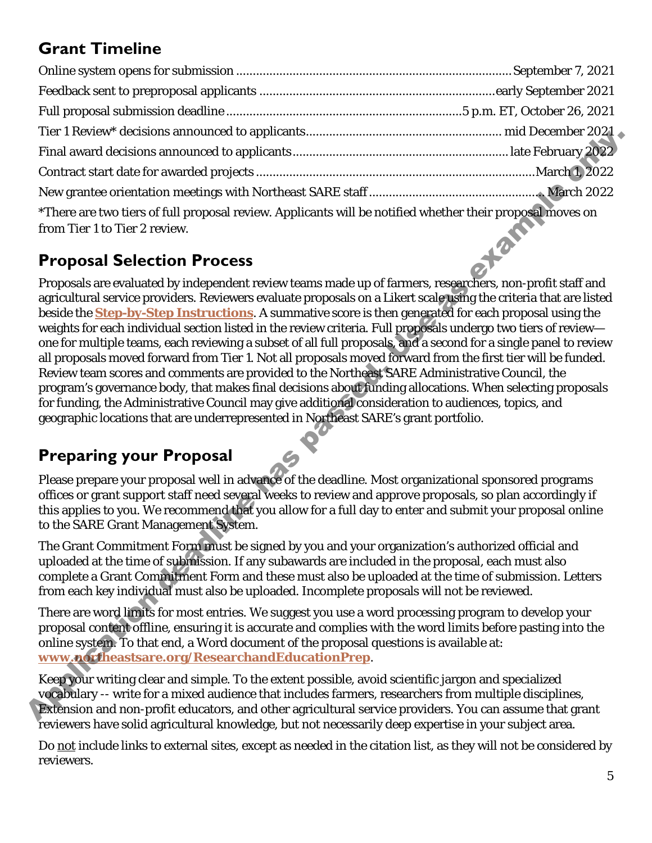# <span id="page-4-0"></span>**Grant Timeline**

| *There are two tiers of full proposal review. Applicants will be notified whether their proposal moves on<br>from Tier 1 to Tier 2 review. |  |
|--------------------------------------------------------------------------------------------------------------------------------------------|--|

# <span id="page-4-1"></span>**Proposal Selection Process**

Proposals are evaluated by independent review teams made up of farmers, researchers, non-profit staff and agricultural service providers. Reviewers evaluate proposals on a Likert scale using the criteria that are listed beside the **Step-by-Step Instructions**. A summative score is then generated for each proposal using the weights for each individual section listed in the review criteria. Full proposals undergo two tiers of review one for multiple teams, each reviewing a subset of all full proposals, and a second for a single panel to review all proposals moved forward from Tier 1. Not all proposals moved forward from the first tier will be funded. Review team scores and comments are provided to the Northeast SARE Administrative Council, the program's governance body, that makes final decisions about funding allocations. When selecting proposals for funding, the Administrative Council may give additional consideration to audiences, topics, and geographic locations that are underrepresented in Northeast SARE's grant portfolio. ment account of the state of the state of the state of the state of the state of the state of the state of the state of the state of the state of the state of the state of the state of the proposal review. Ap[plica](http://www.northeastsare.org/ResearchandEducationPrep)tes we as

# <span id="page-4-2"></span>**Preparing your Proposal**

Please prepare your proposal well in advance of the deadline. Most organizational sponsored programs offices or grant support staff need several weeks to review and approve proposals, so plan accordingly if this applies to you. We recommend that you allow for a full day to enter and submit your proposal online to the SARE Grant Management System.

The Grant Commitment Form must be signed by you and your organization's authorized official and uploaded at the time of submission. If any subawards are included in the proposal, each must also complete a Grant Commitment Form and these must also be uploaded at the time of submission. Letters from each key individual must also be uploaded. Incomplete proposals will not be reviewed.

There are word limits for most entries. We suggest you use a word processing program to develop your proposal content offline, ensuring it is accurate and complies with the word limits before pasting into the online system. To that end, a Word document of the proposal questions is available at: **www.northeastsare.org/ResearchandEducationPrep**.

Keep your writing clear and simple. To the extent possible, avoid scientific jargon and specialized vocabulary -- write for a mixed audience that includes farmers, researchers from multiple disciplines, Extension and non-profit educators, and other agricultural service providers. You can assume that grant reviewers have solid agricultural knowledge, but not necessarily deep expertise in your subject area.

Do not include links to external sites, except as needed in the citation list, as they will not be considered by reviewers.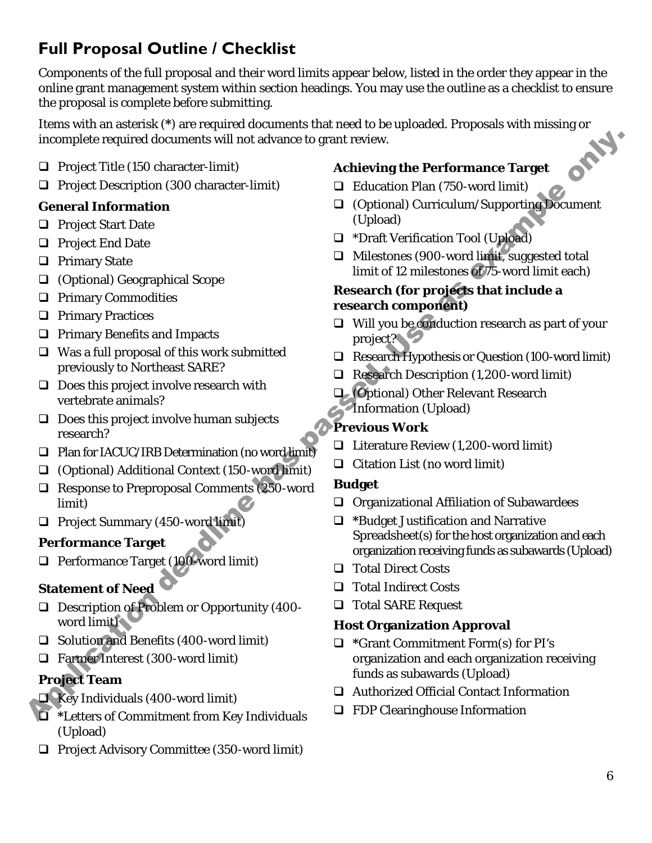# <span id="page-5-0"></span>**Full Proposal Outline / Checklist**

Components of the full proposal and their word limits appear below, listed in the order they appear in the online grant management system within section headings. You may use the outline as a checklist to ensure the proposal is complete before submitting.

Items with an asterisk (\*) are required documents that need to be uploaded. Proposals with missing or<br>incomplete required documents will not advance to grant review.<br><br>Project Title (150 character-limit) incomplete required documents will not advance to grant review.

- $\Box$  Project Title (150 character-limit)
- **Project Description (300 character-limit)**

#### **General Information**

- □ Project Start Date
- □ Project End Date
- □ Primary State
- (Optional) Geographical Scope
- **Q** Primary Commodities
- **Q** Primary Practices
- **Q** Primary Benefits and Impacts
- $\Box$  Was a full proposal of this work submitted previously to Northeast SARE?
- $\Box$  Does this project involve research with vertebrate animals?
- $\Box$  Does this project involve human subjects research?
- $\Box$  Plan for IACUC/IRB Determination (no word limit)
- (Optional) Additional Context (150-word limit)
- □ Response to Preproposal Comments (250-word limit)
- □ Project Summary (450-word limit)

#### **Performance Target**

□ Performance Target (100-word limit)

#### **Statement of Need**

- □ Description of Problem or Opportunity (400word limit) □ Description of Proble<br>word limit)<br>□ Solution and Benefit<br>□ Farmer Interest (300<br>Project Team<br>□ Key Individuals (400<br>□ \*Letters of Commitm
	- $\Box$  Solution and Benefits (400-word limit)
	- Farmer Interest (300-word limit)

### **Project Team**

- $\Box$  Key Individuals (400-word limit)
- **\***Letters of Commitment from Key Individuals (Upload)
- $\Box$  Project Advisory Committee (350-word limit)

#### **Achieving the Performance Target**

- □ Education Plan (750-word limit)
- (Optional) Curriculum/Supporting Document (Upload)
- □ \*Draft Verification Tool (Upload)
- $\Box$  Milestones (900-word limit, suggested total limit of 12 milestones of 75-word limit each)

#### **Research (for projects that include a research component)**

- $\Box$  Will you be conduction research as part of your project?
- Research Hypothesis or Question (100-word limit)
- Research Description (1,200-word limit)
- (Optional) Other Relevant Research Information (Upload)

#### **Previous Work**

- $\Box$  Literature Review (1,200-word limit)
- $\Box$  Citation List (no word limit)

#### **Budget**

- $\Box$  Organizational Affiliation of Subawardees
- **\***Budget Justification and Narrative Spreadsheet(s) for the host organization and each organization receiving funds as subawards (Upload) decuments will not advance to grant review.<br>
character-limit)<br>
on (300 character-limit)<br> **as Equation Plan** (750-word limit)<br> **as Equation Plan** (750-word limit)<br> **as Equation Plan** (750-word limit)<br>
(Upload)<br> **b** First V
	- □ Total Direct Costs
	- □ Total Indirect Costs
	- □ Total SARE Request

#### **Host Organization Approval**

- **\***Grant Commitment Form(s) for PI's organization and each organization receiving funds as subawards (Upload)
- Authorized Official Contact Information
- $\Box$  FDP Clearinghouse Information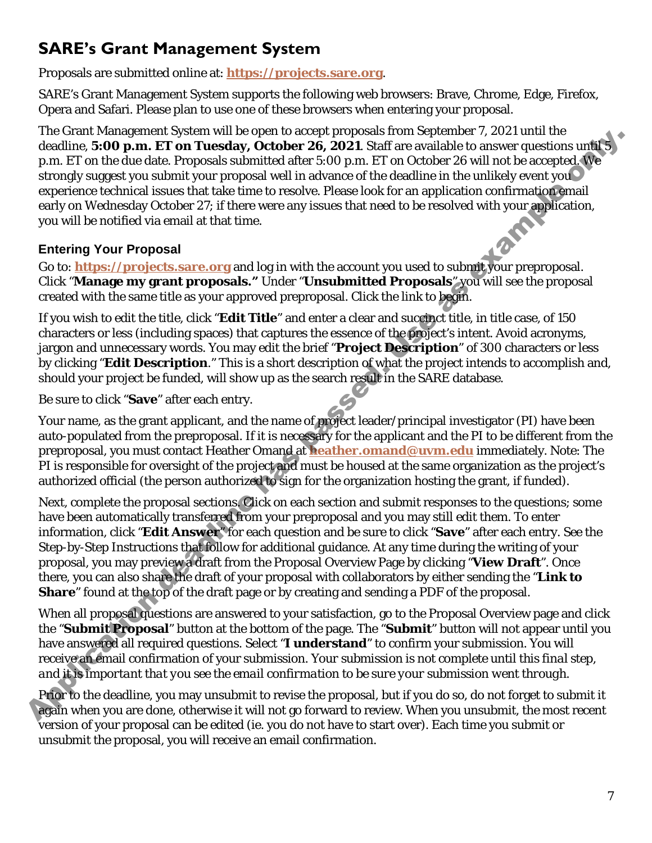# <span id="page-6-0"></span>**SARE's Grant Management System**

Proposals are submitted online at: **[https://projects.sare.org](https://projects.sare.org/)**.

SARE's Grant Management System supports the following web browsers: Brave, Chrome, Edge, Firefox, Opera and Safari. Please plan to use one of these browsers when entering your proposal.

The Grant Management System will be open to accept proposals from September 7, 2021 until the deadline, **5:00 p.m. ET on Tuesday, October 26, 2021**. Staff are available to answer questions until 5 p.m. ET on the due date. Proposals submitted after 5:00 p.m. ET on October 26 will not be accepted. We strongly suggest you submit your proposal well in advance of the deadline in the unlikely event you experience technical issues that take time to resolve. Please look for an application confirmation email early on Wednesday October 27; if there were any issues that need to be resolved with your application, you will be notified via email at that time.

#### **Entering Your Proposal**

Go to: **https://projects.sare.org** and log in with the account you used to submit your preproposal. Click "**Manage my grant proposals."** Under "**Unsubmitted Proposals**" you will see the proposal created with the same title as your approved preproposal. Click the link to begin.

If you wish to edit the title, click "**Edit Title**" and enter a clear and succinct title, in title case, of 150 characters or less (including spaces) that captures the essence of the project's intent. Avoid acronyms, jargon and unnecessary words. You may edit the brief "**Project Description**" of 300 characters or less by clicking "**Edit Description**." This is a short description of what the project intends to accomplish and, should your project be funded, will show up as the search result in the SARE database.

Be sure to click "**Save**" after each entry.

Your name, as the grant applicant, and the name of project leader/principal investigator (PI) have been auto-populated from the preproposal. If it is necessary for the applicant and the PI to be different from the preproposal, you must contact Heather Omand at **heather.omand@uvm.edu** immediately. Note: The PI is responsible for oversight of the project and must be housed at the same organization as the project's authorized official (the person authorized to sign for the organization hosting the grant, if funded).

Next, complete the proposal sections. Click on each section and submit responses to the questions; some have been automatically transferred from your preproposal and you may still edit them. To enter information, click "**Edit Answer**" for each question and be sure to click "**Save**" after each entry. See the Step-by-Step Instructions that follow for additional guidance. At any time during the writing of your proposal, you may preview a draft from the Proposal Overview Page by clicking "**View Draft**". Once there, you can also share the draft of your proposal with collaborators by either sending the "**Link to Share**" found at the top of the draft page or by creating and sending a PDF of the proposal. The wall the duck that we have been nettrogent which are the seate of the seate of the two states of the duck three seasons abundled duck 500 [p](mailto:heather.omand@uvm.edu).m. If on The scalar top and the three seasons of the duck of the seasons of th

When all proposal questions are answered to your satisfaction, go to the Proposal Overview page and click the "**Submit Proposal**" button at the bottom of the page. The "**Submit**" button will not appear until you have answered all required questions. Select "**I understand**" to confirm your submission. You will receive an email confirmation of your submission. *Your submission is not complete until this final step, and it is important that you see the email confirmation to be sure your submission went through.*

Prior to the deadline, you may unsubmit to revise the proposal, but if you do so, do not forget to submit it again when you are done, otherwise it will not go forward to review. When you unsubmit, the most recent version of your proposal can be edited (ie. you do not have to start over). Each time you submit or unsubmit the proposal, you will receive an email confirmation.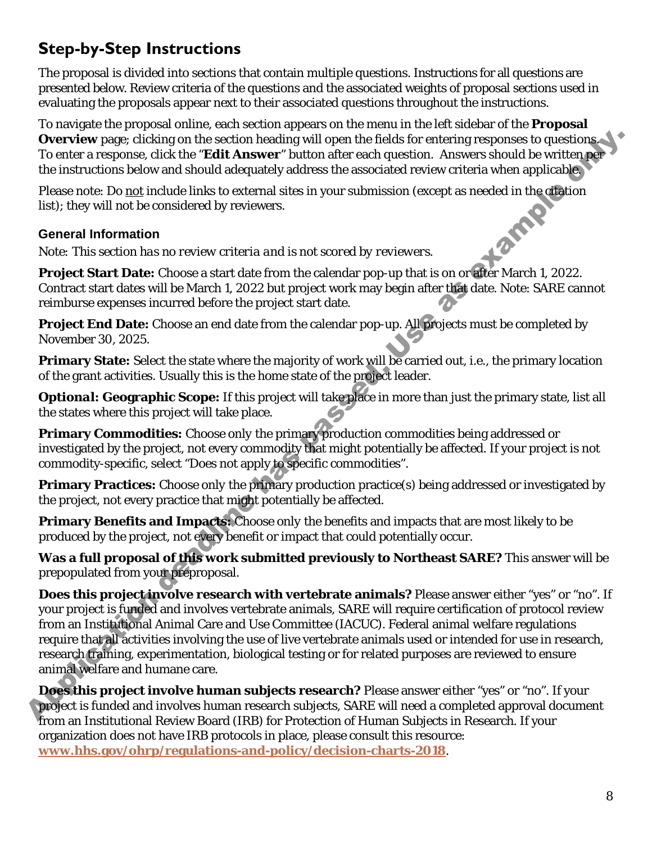# <span id="page-7-0"></span>**Step-by-Step Instructions**

The proposal is divided into sections that contain multiple questions. Instructions for all questions are presented below. Review criteria of the questions and the associated weights of proposal sections used in evaluating the proposals appear next to their associated questions throughout the instructions.

To navigate the proposal online, each section appears on the menu in the left sidebar of the **Proposal Overview** page; clicking on the section heading will open the fields for entering responses to questions. To enter a response, click the "**Edit Answer**" button after each question. Answers should be written per the instructions below and should adequately address the associated review criteria when applicable.

Please note: Do <u>not</u> include links to external sites in your submission (except as needed in the citation<br>list); they will not be considered by reviewers.<br>**General Information**<br>*Note: This section has no review* criterial list); they will not be considered by reviewers.

#### **General Information**

*Note: This section has no review criteria and is not scored by reviewers.* 

**Project Start Date:** Choose a start date from the calendar pop-up that is on or after March 1, 2022. Contract start dates will be March 1, 2022 but project work may begin after that date. Note: SARE cannot reimburse expenses incurred before the project start date.

**Project End Date:** Choose an end date from the calendar pop-up. All projects must be completed by November 30, 2025.

**Primary State:** Select the state where the majority of work will be carried out, i.e., the primary location of the grant activities. Usually this is the home state of the project leader.

*Optional:* **Geographic Scope:** If this project will take place in more than just the primary state, list all the states where this project will take place.

**Primary Commodities:** Choose *only* the primary production commodities being addressed or investigated by the project, *not* every commodity that might potentially be affected. If your project is not commodity-specific, select "Does not apply to specific commodities".

**Primary Practices:** Choose *only* the primary production practice(s) being addressed or investigated by the project, *not* every practice that might potentially be affected.

**Primary Benefits and Impacts:** Choose *only* the benefits and impacts that are most likely to be produced by the project, *not* every benefit or impact that could potentially occur.

**Was a full proposal of this work submitted previously to Northeast SARE?** This answer will be prepopulated from your preproposal.

**Does this project involve research with vertebrate animals?** Please answer either "yes" or "no". If your project is funded and involves vertebrate animals, SARE will require certification of protocol review from an Institutional Animal Care and Use Committee (IACUC). Federal animal welfare regulations require that all activities involving the use of live vertebrate animals used or intended for use in research, research training, experimentation, biological testing or for related purposes are reviewed to ensure animal welfare and humane care. Overview page: (it kinks on the section headling will open the fields for cutching responses to quastions the mean the constrained by the cutching response of the mean technomic behavior the field of the mean technomic be

**Does this project involve human subjects research?** Please answer either "yes" or "no". If your project is funded and involves human research subjects, SARE will need a completed approval document from an Institutional Review Board (IRB) for Protection of Human Subjects in Research. If your organization does not have IRB protocols in place, please consult this resource: **[www.hhs.gov/ohrp/regulations-and-policy/decision-charts-2018](http://www.hhs.gov/ohrp/regulations-and-policy/decision-charts-2018)**.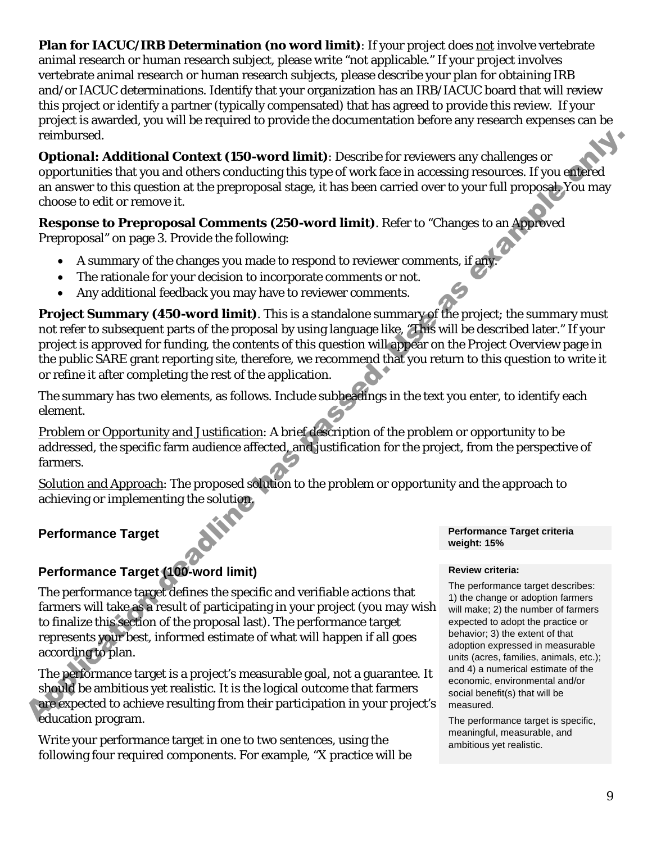**Plan for IACUC/IRB Determination (no word limit)**: If your project does not involve vertebrate animal research or human research subject, please write "not applicable." If your project involves vertebrate animal research or human research subjects, please describe your plan for obtaining IRB and/or IACUC determinations. Identify that your organization has an IRB/IACUC board that will review this project or identify a partner (typically compensated) that has agreed to provide this review. If your project is awarded, you will be required to provide the documentation before any research expenses can be reimbursed.

*Optional:* **Additional Context (150-word limit)**: Describe for reviewers any challenges or opportunities that you and others conducting this type of work face in accessing resources. If you entered an answer to this question at the preproposal stage, it has been carried over to your full proposal. You may choose to edit or remove it.

**Response to Preproposal Comments (250-word limit)**. Refer to "Changes to an Approved Preproposal" on page 3. Provide the following:

- A summary of the changes you made to respond to reviewer comments, if any.
- The rationale for your decision to incorporate comments or not.
- Any additional feedback you may have to reviewer comments.

**Project Summary (450-word limit)**. This is a standalone summary of the project; the summary must not refer to subsequent parts of the proposal by using language like, "This will be described later." If your project is approved for funding, the contents of this question will appear on the Project Overview page in the public SARE grant reporting site, therefore, we recommend that you return to this question to write it or refine it after completing the rest of the application. reinhum or different and dealing to the molecular state of reviewers any challenges or controller than the state of the state in the conservers and controller than the state of the state in a conservers of your different o

The summary has two elements, as follows. Include subheadings in the text you enter, to identify each element.

Problem or Opportunity and Justification: A brief description of the problem or opportunity to be addressed, the specific farm audience affected, and justification for the project, from the perspective of farmers.

Solution and Approach: The proposed solution to the problem or opportunity and the approach to achieving or implementing the solution.

#### **Performance Target**

#### **Performance Target (100-word limit)**

The performance target defines the specific and verifiable actions that farmers will take as a result of participating in your project (you may wish to finalize this section of the proposal last). The performance target represents your best, informed estimate of what will happen if all goes according to plan.

The performance target is a project's measurable goal, not a guarantee. It should be ambitious yet realistic. It is the logical outcome that farmers are expected to achieve resulting from their participation in your project's education program.

Write your performance target in one to two sentences, using the following four required components. For example, "X practice will be

#### **Performance Target criteria weight: 15%**

#### **Review criteria:**

The performance target describes: 1) the change or adoption farmers will make; 2) the number of farmers expected to adopt the practice or behavior; 3) the extent of that adoption expressed in measurable units (acres, families, animals, etc.); and 4) a numerical estimate of the economic, environmental and/or social benefit(s) that will be measured.

The performance target is specific, meaningful, measurable, and ambitious yet realistic.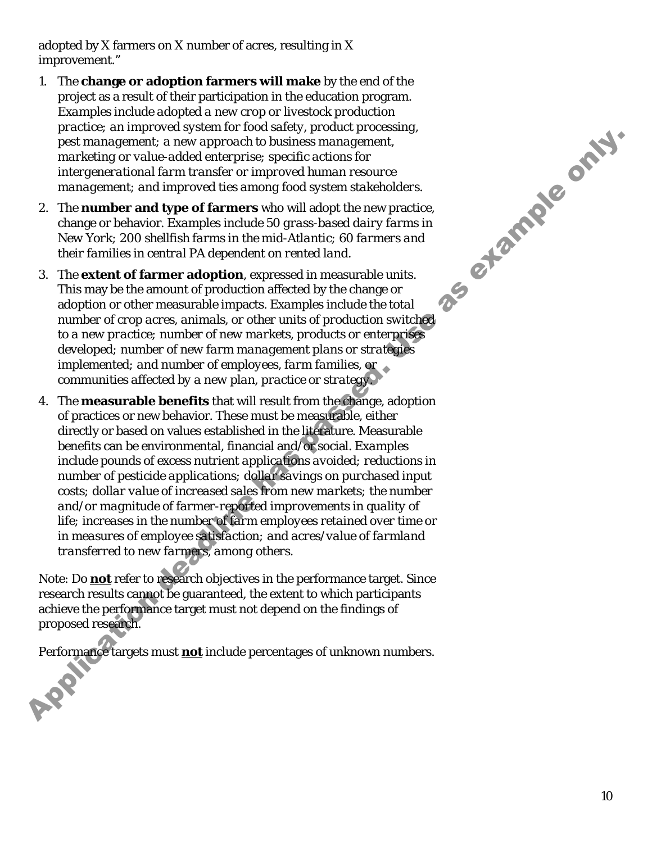adopted by X farmers on X number of acres, resulting in X improvement."

- 1. The **change or adoption farmers will make** by the end of the project as a result of their participation in the education program. *Examples include adopted a new crop or livestock production practice; an improved system for food safety, product processing, pest management; a new approach to business management, marketing or value-added enterprise; specific actions for intergenerational farm transfer or improved human resource management; and improved ties among food system stakeholders.*
- 2. The **number and type of farmers** who will adopt the new practice, change or behavior. *Examples include 50 grass-based dairy farms in New York; 200 shellfish farms in the mid-Atlantic; 60 farmers and their families in central PA dependent on rented land.*
- 3. The **extent of farmer adoption**, expressed in measurable units. This may be the amount of production affected by the change or adoption or other measurable impacts. *Examples include the total number of crop acres, animals, or other units of production switched to a new practice; number of new markets, products or enterprises developed; number of new farm management plans or strategies implemented; and number of employees, farm families, or communities affected by a new plan, practice or strategy.*
- 4. The **measurable benefits** that will result from the change, adoption of practices or new behavior. These must be measurable, either directly or based on values established in the literature. Measurable benefits can be environmental, financial and/or social. *Examples include pounds of excess nutrient applications avoided; reductions in number of pesticide applications; dollar savings on purchased input costs; dollar value of increased sales from new markets; the number and/or magnitude of farmer-reported improvements in quality of life; increases in the number of farm employees retained over time or in measures of employee satisfaction; and acres/value of farmland transferred to new farmers, among others.* Application dealing the method of the methods of the particular control in the method of the method of the method and the method in the method in the method in the method of the method of the method of the method of the m

Note: Do **not** refer to research objectives in the performance target. Since research results cannot be guaranteed, the extent to which participants achieve the performance target must not depend on the findings of proposed research.

Performance targets must **not** include percentages of unknown numbers.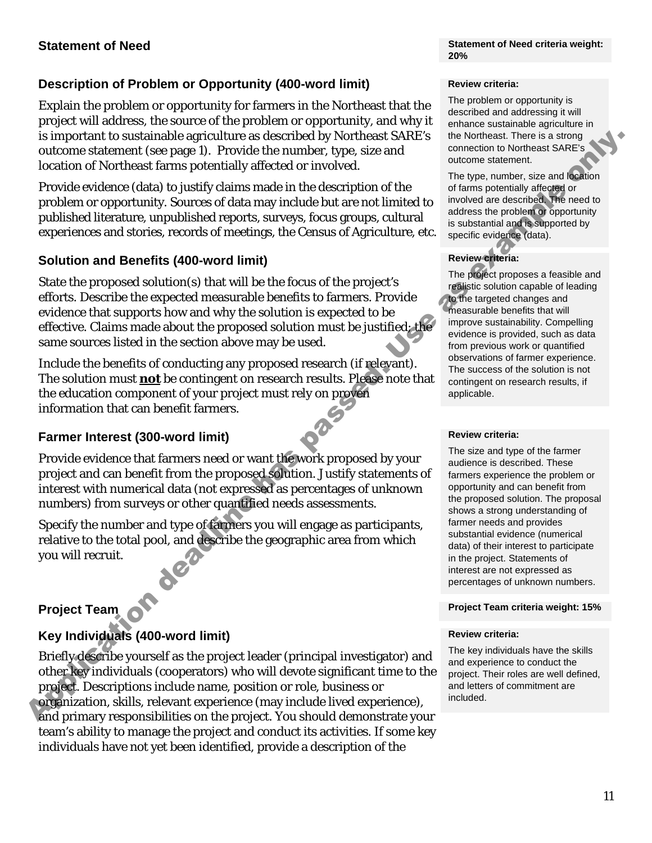**Statement of Need criteria weight: 20%**

#### **Description of Problem or Opportunity (400-word limit)**

Explain the problem or opportunity for farmers in the Northeast that the project will address, the source of the problem or opportunity, and why it is important to sustainable agriculture as described by Northeast SARE's outcome statement (see page 1). Provide the number, type, size and location of Northeast farms potentially affected or involved.

Provide evidence (data) to justify claims made in the description of the problem or opportunity. Sources of data may include but are not limited to published literature, unpublished reports, surveys, focus groups, cultural experiences and stories, records of meetings, the Census of Agriculture, etc.

#### **Solution and Benefits (400-word limit)**

State the proposed solution(s) that will be the focus of the project's efforts. Describe the expected measurable benefits to farmers. Provide evidence that supports how and why the solution is expected to be effective. Claims made about the proposed solution must be justified; the same sources listed in the section above may be used. Is important to sustainable agriculture as described by thoritiests SMES in the heating and the state of Northeast Theories from Northeast Control (Control (Control (Control (Control (Control (Control (Control (Control))

Include the benefits of conducting any proposed research (if relevant). The solution must **not** be contingent on research results. Please note that the education component of your project must rely on proven information that can benefit farmers.

#### **Farmer Interest (300-word limit)**

Provide evidence that farmers need or want the work proposed by your project and can benefit from the proposed solution. Justify statements of interest with numerical data (not expressed as percentages of unknown numbers) from surveys or other quantified needs assessments.

Specify the number and type of farmers you will engage as participants, relative to the total pool, and describe the geographic area from which you will recruit.

#### **Project Team**

#### **Key Individuals (400-word limit)**

Briefly describe yourself as the project leader (principal investigator) and other key individuals (cooperators) who will devote significant time to the project. Descriptions include name, position or role, business or organization, skills, relevant experience (may include lived experience), and primary responsibilities on the project. You should demonstrate your team's ability to manage the project and conduct its activities. If some key individuals have not yet been identified, provide a description of the

#### **Review criteria:**

The problem or opportunity is described and addressing it will enhance sustainable agriculture in the Northeast. There is a strong connection to Northeast SARE's outcome statement.

The type, number, size and location of farms potentially affected or involved are described. The need to address the problem or opportunity is substantial and is supported by specific evidence (data).

#### **Review criteria:**

The project proposes a feasible and realistic solution capable of leading to the targeted changes and measurable benefits that will improve sustainability. Compelling evidence is provided, such as data from previous work or quantified observations of farmer experience. The success of the solution is not contingent on research results, if applicable.

#### **Review criteria:**

The size and type of the farmer audience is described. These farmers experience the problem or opportunity and can benefit from the proposed solution. The proposal shows a strong understanding of farmer needs and provides substantial evidence (numerical data) of their interest to participate in the project. Statements of interest are not expressed as percentages of unknown numbers.

#### **Project Team criteria weight: 15%**

#### **Review criteria:**

The key individuals have the skills and experience to conduct the project. Their roles are well defined, and letters of commitment are included.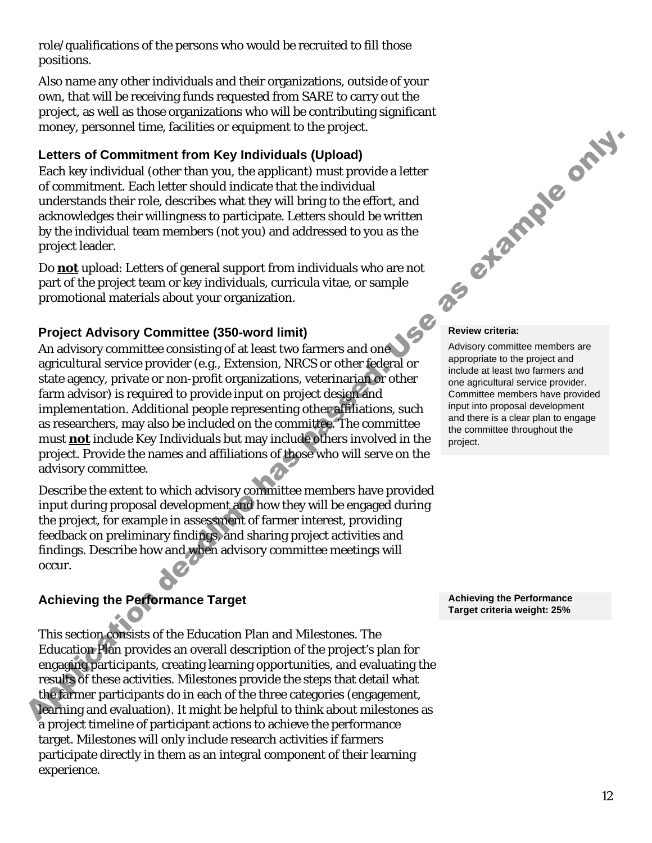role/qualifications of the persons who would be recruited to fill those positions.

Also name any other individuals and their organizations, outside of your own, that will be receiving funds requested from SARE to carry out the project, as well as those organizations who will be contributing significant money, personnel time, facilities or equipment to the project.

#### **Letters of Commitment from Key Individuals (Upload)**

Each key individual (other than you, the applicant) must provide a letter of commitment. Each letter should indicate that the individual understands their role, describes what they will bring to the effort, and acknowledges their willingness to participate. Letters should be written by the individual team members (not you) and addressed to you as the project leader.

Do **not** upload: Letters of general support from individuals who are not part of the project team or key individuals, curricula vitae, or sample promotional materials about your organization.

#### **Project Advisory Committee (350-word limit)**

An advisory committee consisting of at least two farmers and one agricultural service provider (e.g., Extension, NRCS or other federal or state agency, private or non-profit organizations, veterinarian or other farm advisor) is required to provide input on project design and implementation. Additional people representing other affiliations, such as researchers, may also be included on the committee. The committee must **not** include Key Individuals but may include others involved in the project. Provide the names and affiliations of those who will serve on the advisory committee. Letters of Commitment from Key Individuals (Upload)<br>Letters of Commitment from Key Individuals (Upload)<br>of commitment Each letter should indicate that the individual<br>unformands their role, describes what they will hringe t

Describe the extent to which advisory committee members have provided input during proposal development and how they will be engaged during the project, for example in assessment of farmer interest, providing feedback on preliminary findings, and sharing project activities and findings. Describe how and when advisory committee meetings will occur.

#### **Achieving the Performance Target**

This section consists of the Education Plan and Milestones. The Education Plan provides an overall description of the project's plan for engaging participants, creating learning opportunities, and evaluating the results of these activities. Milestones provide the steps that detail what the farmer participants do in each of the three categories (engagement, learning and evaluation). It might be helpful to think about milestones as a project timeline of participant actions to achieve the performance target. Milestones will only include research activities if farmers participate directly in them as an integral component of their learning experience.



#### **Review criteria:**

Advisory committee members are appropriate to the project and include at least two farmers and one agricultural service provider. Committee members have provided input into proposal development and there is a clear plan to engage the committee throughout the project.

**Achieving the Performance Target criteria weight: 25%**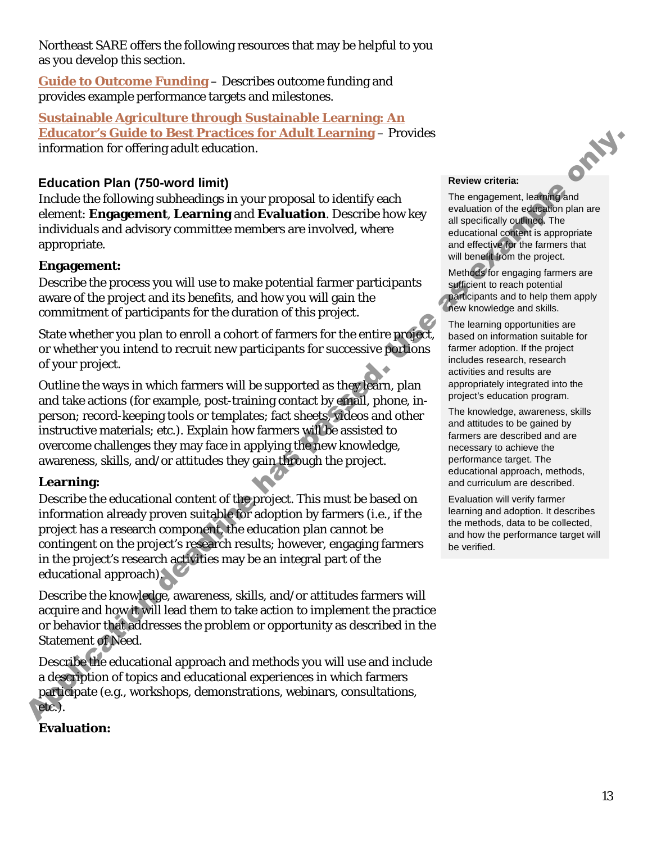Northeast SARE offers the following resources that may be helpful to you as you develop this section.

**[Guide to Outcome Funding](https://northeast.sare.org/grants/get-a-grant/research-and-education-grant-program/guide-to-outcome-funding/)** – Describes outcome funding and provides example performance targets and milestones.

**[Sustainable Agriculture through Sustainable Learning: An](https://www.sare.org/resources/sustainable-agriculture-through-sustainable-learning/?tid=3)  [Educator's Guide to Best Practices for Adult Learning](https://www.sare.org/resources/sustainable-agriculture-through-sustainable-learning/?tid=3)** – Provides information for offering adult education.

#### **Education Plan (750-word limit)**

Include the following subheadings in your proposal to identify each element: **Engagement**, **Learning** and **Evaluation**. Describe how key individuals and advisory committee members are involved, where appropriate.

#### **Engagement:**

Describe the process you will use to make potential farmer participants aware of the project and its benefits, and how you will gain the commitment of participants for the duration of this project.

State whether you plan to enroll a cohort of farmers for the entire project, or whether you intend to recruit new participants for successive portions of your project.

Outline the ways in which farmers will be supported as they learn, plan and take actions (for example, post-training contact by email, phone, inperson; record-keeping tools or templates; fact sheets, videos and other instructive materials; etc.). Explain how farmers will be assisted to overcome challenges they may face in applying the new knowledge, awareness, skills, and/or attitudes they gain through the project. **Extraction Controllation** is the **Extraction** of the **Extraction** of the **Extraction** of the **Extraction** Dan (750-word limit)<br> **Education Plan (750-word limit)**<br> **Education Plan (750-word limit)**<br>
decline the **Coloring** 

#### **Learning:**

Describe the educational content of the project. This must be based on information already proven suitable for adoption by farmers (i.e., if the project has a research component, the education plan cannot be contingent on the project's research results; however, engaging farmers in the project's research activities may be an integral part of the educational approach).

Describe the knowledge, awareness, skills, and/or attitudes farmers will acquire and how it will lead them to take action to implement the practice or behavior that addresses the problem or opportunity as described in the Statement of Need.

Describe the educational approach and methods you will use and include a description of topics and educational experiences in which farmers participate (e.g., workshops, demonstrations, webinars, consultations, etc.).

### **Evaluation:**

#### **Review criteria:**

The engagement, learning and evaluation of the education plan are all specifically outlined. The educational content is appropriate and effective for the farmers that will benefit from the project.

Methods for engaging farmers are sufficient to reach potential participants and to help them apply new knowledge and skills.

The learning opportunities are based on information suitable for farmer adoption. If the project includes research, research activities and results are appropriately integrated into the project's education program.

The knowledge, awareness, skills and attitudes to be gained by farmers are described and are necessary to achieve the performance target. The educational approach, methods, and curriculum are described.

Evaluation will verify farmer learning and adoption. It describes the methods, data to be collected, and how the performance target will be verified.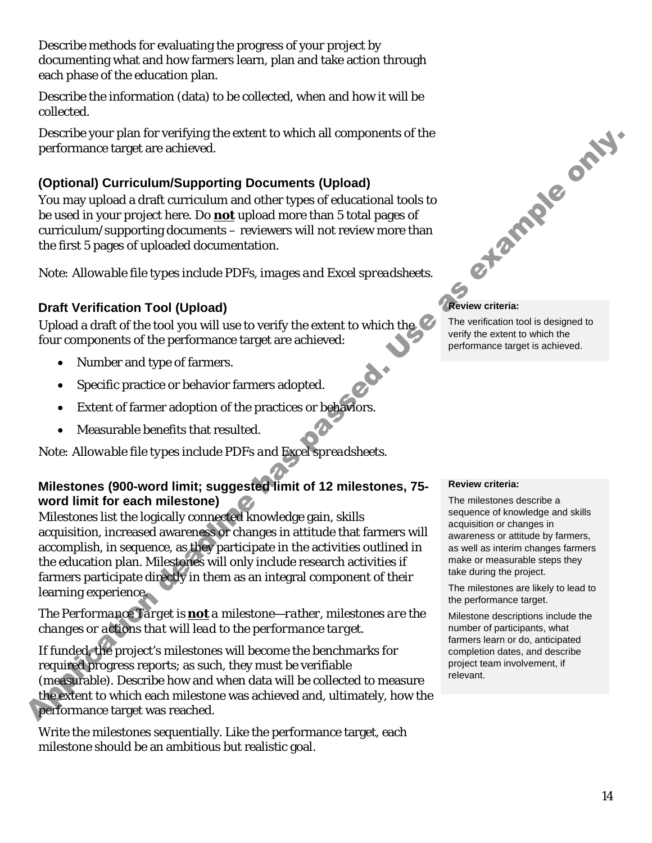Describe methods for evaluating the progress of your project by documenting what and how farmers learn, plan and take action through each phase of the education plan.

Describe the information (data) to be collected, when and how it will be collected.

Describe your plan for verifying the extent to which all components of the performance target are achieved.

### **(Optional) Curriculum/Supporting Documents (Upload)**

You may upload a draft curriculum and other types of educational tools to be used in your project here. Do **not** upload more than 5 total pages of curriculum/supporting documents – reviewers will not review more than the first 5 pages of uploaded documentation.

*Note: Allowable file types include PDFs, images and Excel spreadsheets.*

#### **Draft Verification Tool (Upload)**

Upload a draft of the tool you will use to verify the extent to which the four components of the performance target are achieved:

- Number and type of farmers.
- Specific practice or behavior farmers adopted.
- Extent of farmer adoption of the practices or behaviors.
- Measurable benefits that resulted.

*Note: Allowable file types include PDFs and Excel spreadsheets.*

#### **Milestones (900-word limit; suggested limit of 12 milestones, 75 word limit for each milestone)**

Milestones list the logically connected knowledge gain, skills acquisition, increased awareness or changes in attitude that farmers will accomplish, in sequence, as they participate in the activities outlined in the education plan. Milestones will only include research activities if farmers participate directly in them as an integral component of their learning experience. Dependent parameterization of vertical control and a control and a control and a control and a control and a control and a control and a control and a control and a control and a control and a control and a control and a

#### *The Performance Target is not a milestone—rather, milestones are the changes or actions that will lead to the performance target.*

If funded, the project's milestones will become the benchmarks for required progress reports; as such, they must be verifiable (measurable). Describe how and when data will be collected to measure the extent to which each milestone was achieved and, ultimately, how the performance target was reached.

Write the milestones sequentially. Like the performance target, each milestone should be an ambitious but realistic goal.



**Review criteria:**

The verification tool is designed to verify the extent to which the performance target is achieved.

#### **Review criteria:**

The milestones describe a sequence of knowledge and skills acquisition or changes in awareness or attitude by farmers, as well as interim changes farmers make or measurable steps they take during the project.

The milestones are likely to lead to the performance target.

Milestone descriptions include the number of participants, what farmers learn or do, anticipated completion dates, and describe project team involvement, if relevant.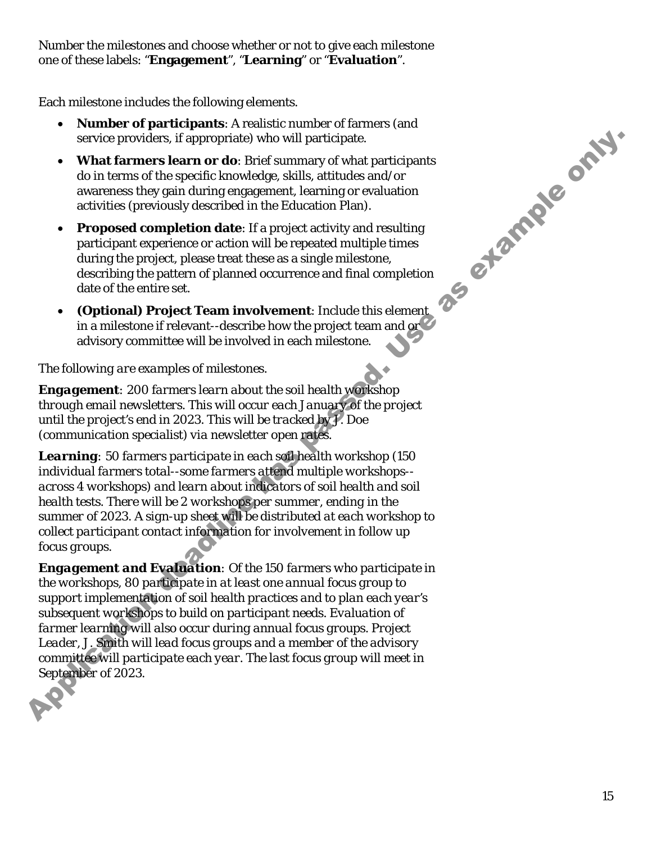Number the milestones and choose whether or not to give each milestone one of these labels: "**Engagement**", "**Learning**" or "**Evaluation**".

Each milestone includes the following elements.

- **Number of participants**: A realistic number of farmers (and service providers, if appropriate) who will participate.
- **What farmers learn or do**: Brief summary of what participants do in terms of the specific knowledge, skills, attitudes and/or awareness they gain during engagement, learning or evaluation activities (previously described in the Education Plan).
- **Proposed completion date**: If a project activity and resulting participant experience or action will be repeated multiple times during the project, please treat these as a single milestone, describing the pattern of planned occurrence and final completion date of the entire set.
- **(Optional) Project Team involvement**: Include this element in a milestone if relevant--describe how the project team and or advisory committee will be involved in each milestone.

#### *The following are examples of milestones.*

*Engagement: 200 farmers learn about the soil health workshop through email newsletters. This will occur each January of the project until the project's end in 2023. This will be tracked by J. Doe (communication specialist) via newsletter open rates.* 

*Learning: 50 farmers participate in each soil health workshop (150 individual farmers total--some farmers attend multiple workshops- across 4 workshops) and learn about indicators of soil health and soil health tests. There will be 2 workshops per summer, ending in the summer of 2023. A sign-up sheet will be distributed at each workshop to collect participant contact information for involvement in follow up focus groups.*

*Engagement and Evaluation: Of the 150 farmers who participate in the workshops, 80 participate in at least one annual focus group to support implementation of soil health practices and to plan each year's subsequent workshops to build on participant needs. Evaluation of farmer learning will also occur during annual focus groups. Project Leader, J. Smith will lead focus groups and a member of the advisory committee will participate each year. The last focus group will meet in September of 2023.* service provides. If appropriate) who will participants<br>
What farmeres the area die Stries sammary of what participants<br>
du in terms of the guest during the knowledge shills, attitudes and to<br>
a waverusta they gain during

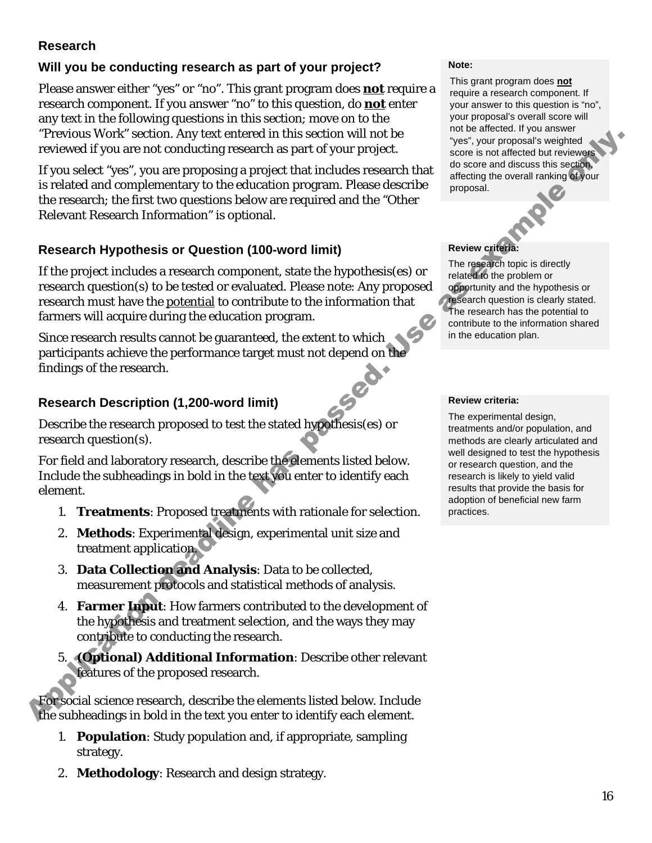#### **Research**

#### **Will you be conducting research as part of your project?**

Please answer either "yes" or "no". This grant program does **not** require a research component. If you answer "no" to this question, do **not** enter any text in the following questions in this section; move on to the "Previous Work" section. Any text entered in this section will not be reviewed if you are not conducting research as part of your project.

If you select "yes", you are proposing a project that includes research that is related and complementary to the education program. Please describe the research; the first two questions below are required and the "Other Relevant Research Information" is optional. Previous Work" section, Any tax tentred in this section will not be example as example and the measurement than the example of the section of the tentre and the section of the section of the section of the section of the

#### **Research Hypothesis or Question (100-word limit)**

If the project includes a research component, state the hypothesis(es) or research question(s) to be tested or evaluated. Please note: Any proposed research must have the potential to contribute to the information that farmers will acquire during the education program.

Since research results cannot be guaranteed, the extent to which participants achieve the performance target must not depend on the findings of the research.

#### **Research Description (1,200-word limit)**

Describe the research proposed to test the stated hypothesis(es) or research question(s).

For field and laboratory research, describe the elements listed below. Include the subheadings in bold in the text you enter to identify each element.

- 1. **Treatments**: Proposed treatments with rationale for selection.
- 2. **Methods**: Experimental design, experimental unit size and treatment application.
- 3. **Data Collection and Analysis**: Data to be collected, measurement protocols and statistical methods of analysis.
- 4. **Farmer Input**: How farmers contributed to the development of the hypothesis and treatment selection, and the ways they may contribute to conducting the research.
- 5. **(Optional) Additional Information**: Describe other relevant features of the proposed research.

For social science research, describe the elements listed below. Include the subheadings in bold in the text you enter to identify each element.

- 1. **Population**: Study population and, if appropriate, sampling strategy.
- 2. **Methodology**: Research and design strategy.

#### **Note:**

This grant program does **not** require a research component. If your answer to this question is "no", your proposal's overall score will not be affected. If you answer "yes", your proposal's weighted score is not affected but reviewers do score and discuss this section, affecting the overall ranking of your proposal.

#### **Review criteria:**

The research topic is directly related to the problem or opportunity and the hypothesis or research question is clearly stated. The research has the potential to contribute to the information shared in the education plan.

#### **Review criteria:**

The experimental design, treatments and/or population, and methods are clearly articulated and well designed to test the hypothesis or research question, and the research is likely to yield valid results that provide the basis for adoption of beneficial new farm practices.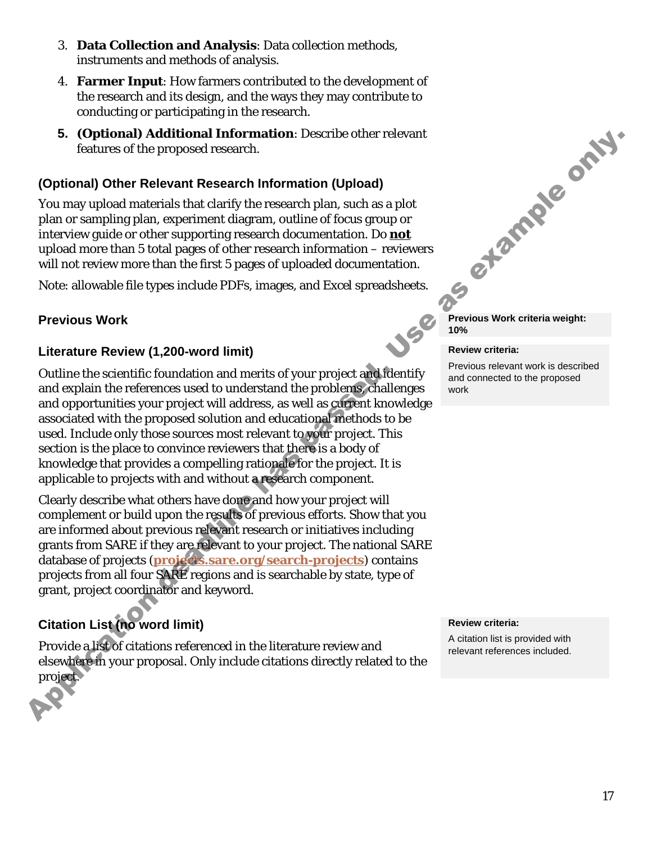- 3. **Data Collection and Analysis**: Data collection methods, instruments and methods of analysis.
- 4. **Farmer Input**: How farmers contributed to the development of the research and its design, and the ways they may contribute to conducting or participating in the research.
- **5. (Optional) Additional Information**: Describe other relevant features of the proposed research.

## **(Optional) Other Relevant Research Information (Upload)**

You may upload materials that clarify the research plan, such as a plot plan or sampling plan, experiment diagram, outline of focus group or interview guide or other supporting research documentation. Do **not**  upload more than 5 total pages of other research information – reviewers will not review more than the first 5 pages of uploaded documentation.

Note: allowable file types include PDFs, images, and Excel spreadsheets.

### **Previous Work**

#### **Literature Review (1,200-word limit)**

Outline the scientific foundation and merits of your project and identify and explain the references used to understand the problems, challenges and opportunities your project will address, as well as current knowledge associated with the proposed solution and educational methods to be used. Include only those sources most relevant to your project. This section is the place to convince reviewers that there is a body of knowledge that provides a compelling rationale for the project. It is applicable to projects with and without a research component. **5.** (Optional) Additional Information: Describe other relevant<br>(outures of the proposed research Information (Upload)<br>(fortional) Other Relevant Research Information (Upload)<br>plan or sampling plan, experiment diagram, no

Clearly describe what others have done and how your project will complement or build upon the results of previous efforts. Show that you are informed about previous relevant research or initiatives including grants from SARE if they are relevant to your project. The national SARE database of projects (**projects.sare.org/search-projects**) contains projects from all four SARE regions and is searchable by state, type of grant, project coordinator and keyword.

# **Citation List (no word limit)**

Provide a list of citations referenced in the literature review and elsewhere in your proposal. Only include citations directly related to the project.



**Previous Work criteria weight: 10%**

#### **Review criteria:**

Previous relevant work is described and connected to the proposed work

#### **Review criteria:**

A citation list is provided with relevant references included.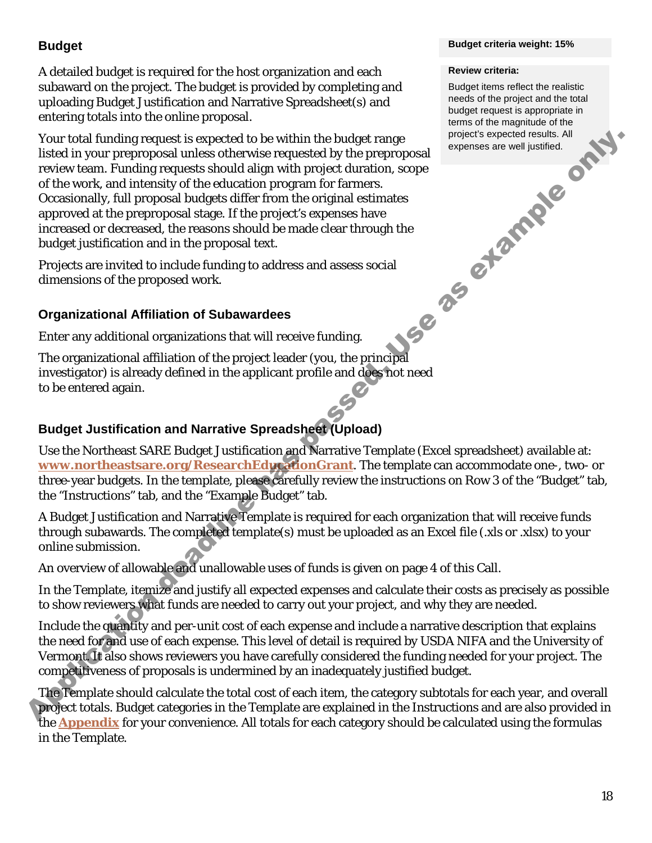## **Budget**

A detailed budget is required for the host organization and each subaward on the project. The budget is provided by completing and uploading Budget Justification and Narrative Spreadsheet(s) and entering totals into the online proposal.

Your total funding request is expected to be within the budget range listed in your preproposal unless otherwise requested by the preproposal review team. Funding requests should align with project duration, scope of the work, and intensity of the education program for farmers. Occasionally, full proposal budgets differ from the original estimates approved at the preproposal stage. If the project's expenses have increased or decreased, the reasons should be made clear through the budget justification and in the proposal text. Your total funding requests is expected to be within the budget range. In<br>over the interaction of the work, and intensity of the education program for farmes.<br>
receive team, Funding requests aboutd align with project durat

Projects are invited to include funding to address and assess social dimensions of the proposed work.

#### **Organizational Affiliation of Subawardees**

Enter any additional organizations that will receive funding.

The organizational affiliation of the project leader (you, the principal investigator) is already defined in the applicant profile and does not need to be entered again.

## **Budget Justification and Narrative Spreadsheet (Upload)**

Use the Northeast SARE Budget Justification and Narrative Template (Excel spreadsheet) available at: **www.northeastsare.org/ResearchEducationGrant**. The template can accommodate one-, two- or three-year budgets. In the template, please carefully review the instructions on Row 3 of the "Budget" tab, the "Instructions" tab, and the "Example Budget" tab.

A Budget Justification and Narrative Template is required for each organization that will receive funds through subawards. The completed template(s) must be uploaded as an Excel file (.xls or .xlsx) to your online submission.

An overview of allowable and unallowable uses of funds is given on page 4 of this Call.

In the Template, itemize and justify all expected expenses and calculate their costs as precisely as possible to show reviewers what funds are needed to carry out your project, and why they are needed.

Include the quantity and per-unit cost of each expense and include a narrative description that explains the need for and use of each expense. This level of detail is required by USDA NIFA and the University of Vermont. It also shows reviewers you have carefully considered the funding needed for your project. The competitiveness of proposals is undermined by an inadequately justified budget.

The Template should calculate the total cost of each item, the category subtotals for each year, and overall project totals. Budget categories in the Template are explained in the Instructions and are also provided in the **[Appendix](#page-20-0)** for your convenience. All totals for each category should be calculated using the formulas in the Template.

#### **Budget criteria weight: 15%**

#### **Review criteria:**

Budget items reflect the realistic needs of the project and the total budget request is appropriate in terms of the magnitude of the project's expected results. All expenses are well justified.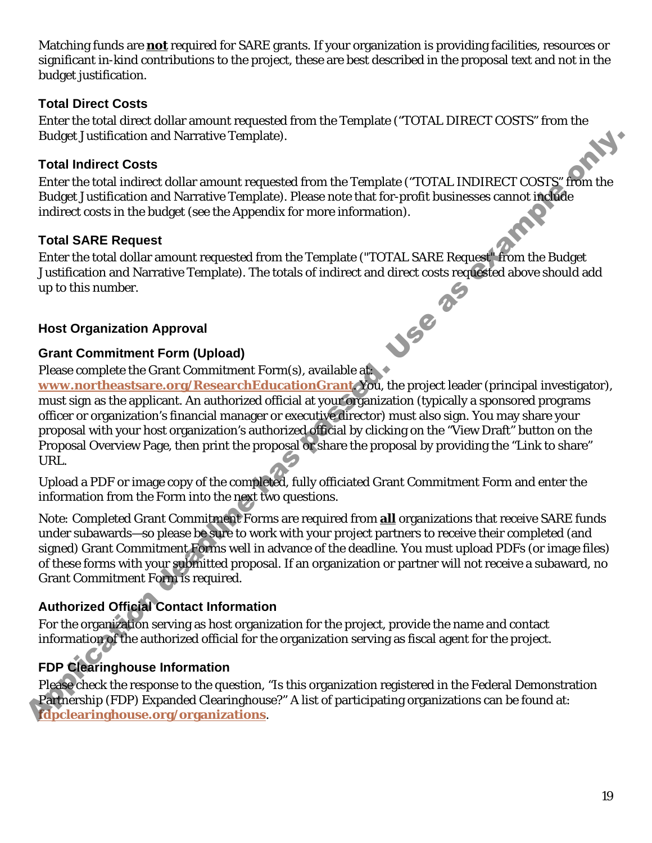Matching funds are **not** required for SARE grants. If your organization is providing facilities, resources or significant in-kind contributions to the project, these are best described in the proposal text and not in the budget justification.

#### **Total Direct Costs**

Enter the total direct dollar amount requested from the Template ("TOTAL DIRECT COSTS" from the Budget Justification and Narrative Template).

#### **Total Indirect Costs**

Enter the total indirect dollar amount requested from the Template ("TOTAL INDIRECT COSTS" from the Budget Justification and Narrative Template). Please note that for-profit businesses cannot include indirect costs in the budget (see the Appendix for more information).

#### **Total SARE Request**

Enter the total dollar amount requested from the Template ("TOTAL SARE Request" from the Budget Justification and Narrative Template). The totals of indirect and direct costs requested above should add<br>up to this number.<br>Host Organization Approval<br>Grant Commitment Form (1) up to this number.

#### **Host Organization Approval**

#### **Grant Commitment Form (Upload)**

Please complete the Grant Commitment Form(s), available at:

**[www.northeastsare.org/ResearchEducationGrant](http://www.northeastsare.org/ResearchEducationGrant)**. You, the project leader (principal investigator), must sign as the applicant. An authorized official at your organization (typically a sponsored programs officer or organization's financial manager or executive director) must also sign. You may share your proposal with your host organization's authorized official by clicking on the "View Draft" button on the Proposal Overview Page, then print the proposal or share the proposal by providing the "Link to share" URL. and Narrative Template).<br>
S<br>
a collar amount requested from the Template ("TOTAL INDIRECT COSTS" from the<br>
and Narrative Template). Please note that for-profit businesses cannot included<br>
udget (see the Appendix for more i

Upload a PDF or image copy of the completed, fully officiated Grant Commitment Form and enter the information from the Form into the next two questions.

*Note:* Completed Grant Commitment Forms are required from **all** organizations that receive SARE funds under subawards—so please be sure to work with your project partners to receive their completed (and signed) Grant Commitment Forms well in advance of the deadline. You must upload PDFs (or image files) of these forms with your submitted proposal. If an organization or partner will not receive a subaward, no Grant Commitment Form is required.

### **Authorized Official Contact Information**

For the organization serving as host organization for the project, provide the name and contact information of the authorized official for the organization serving as fiscal agent for the project.

# <span id="page-18-0"></span>**FDP Clearinghouse Information**

Please check the response to the question, "Is this organization registered in the Federal Demonstration Partnership (FDP) Expanded Clearinghouse?" A list of participating organizations can be found at: Authorized Official Co<br>For the organization ser<br>information of the author<br>FDP Clearinghouse In<br>Please check the responser<br>Partnership (FDP) Expa **[fdpclearinghouse.org/organizations](https://fdpclearinghouse.org/organizations)**.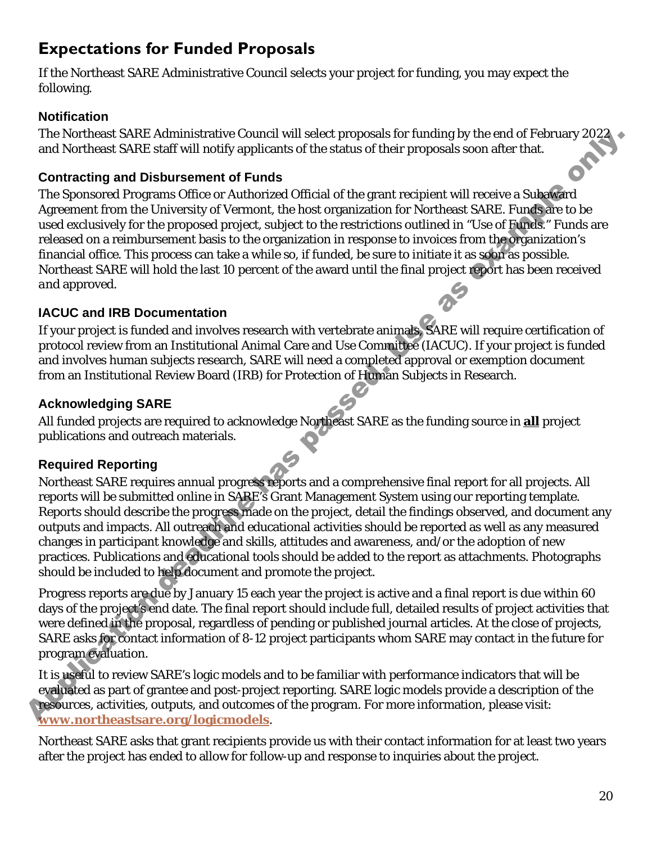# **Expectations for Funded Proposals**

If the Northeast SARE Administrative Council selects your project for funding, you may expect the following.

#### **Notification**

The Northeast SARE Administrative Council will select proposals for funding by the end of February 2022 and Northeast SARE staff will notify applicants of the status of their proposals soon after that.

#### **Contracting and Disbursement of Funds**

The Sponsored Programs Office or Authorized Official of the grant recipient will receive a Subaward Agreement from the University of Vermont, the host organization for Northeast SARE. Funds are to be used exclusively for the proposed project, subject to the restrictions outlined in "Use of Funds." Funds are released on a reimbursement basis to the organization in response to invoices from the organization's financial office. This process can take a while so, if funded, be sure to initiate it as soon as possible. Northeast SARE will hold the last 10 percent of the award until the final project report has been received *and* approved.

#### **IACUC and IRB Documentation**

If your project is funded and involves research with vertebrate animals, SARE will require certification of protocol review from an Institutional Animal Care and Use Committee (IACUC). If your project is funded and involves human subjects research, SARE will need a completed approval or exemption document from an Institutional Review Board (IRB) for Protection of Human Subjects in Research.

### **Acknowledging SARE**

All funded projects are required to acknowledge Northeast SARE as the funding source in **all** project publications and outreach materials.

### **Required Reporting**

Northeast SARE requires annual progress reports and a comprehensive final report for all projects. All reports will be submitted online in SARE's Grant Management System using our reporting template. Reports should describe the progress made on the project, detail the findings observed, and document any outputs and impacts. All outreach and educational activities should be reported as well as any measured changes in participant knowledge and skills, attitudes and awareness, and/or the adoption of new practices. Publications and educational tools should be added to the report as attachments. Photographs should be included to help document and promote the project. The Northeast SARE Administrative Council will select proposals or lariding to the end of rebutary 2028<br>and Northeast SARE staff will notify sophiearts of the status of their proposals soon atter that.<br> **Contracting and Di** 

Progress reports are due by January 15 each year the project is active and a final report is due within 60 days of the project's end date. The final report should include full, detailed results of project activities that were defined in the proposal, regardless of pending or published journal articles. At the close of projects, SARE asks for contact information of 8-12 project participants whom SARE may contact in the future for program evaluation.

It is useful to review SARE's logic models and to be familiar with performance indicators that will be evaluated as part of grantee and post-project reporting. SARE logic models provide a description of the resources, activities, outputs, and outcomes of the program. For more information, please visit: **[www.northeastsare.org/logicmodels](http://www.northeastsare.org/logicmodels)**.

Northeast SARE asks that grant recipients provide us with their contact information for at least two years after the project has ended to allow for follow-up and response to inquiries about the project.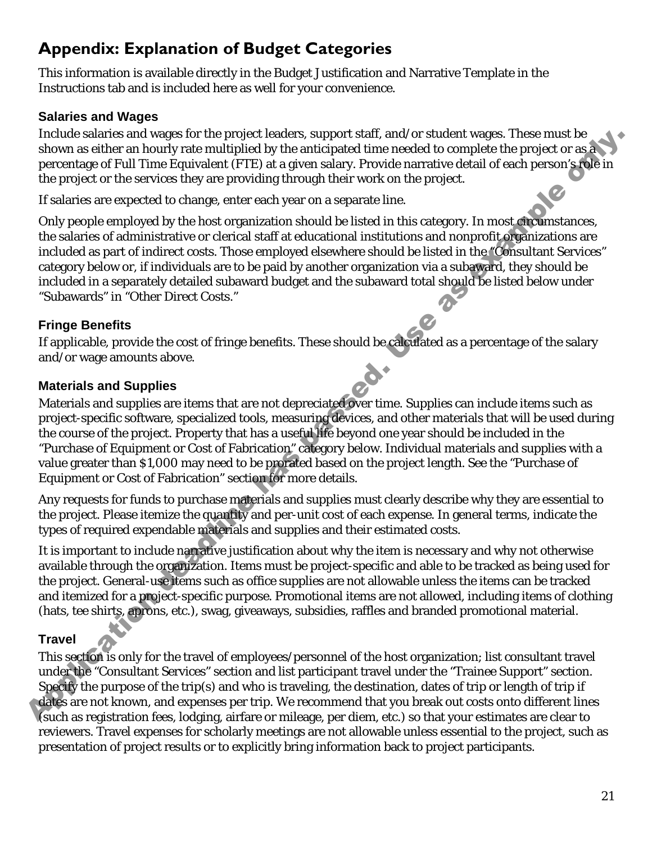# <span id="page-20-0"></span>**Appendix: Explanation of Budget Categories**

This information is available directly in the Budget Justification and Narrative Template in the Instructions tab and is included here as well for your convenience.

### **Salaries and Wages**

Include salaries and wages for the project leaders, support staff, and/or student wages. These must be shown as either an hourly rate multiplied by the anticipated time needed to complete the project or as a percentage of Full Time Equivalent (FTE) at a given salary. Provide narrative detail of each person's role in the project or the services they are providing through their work on the project.

If salaries are expected to change, enter each year on a separate line.

Only people employed by the host organization should be listed in this category. In most circumstances, the salaries of administrative or clerical staff at educational institutions and nonprofit organizations are included as part of indirect costs. Those employed elsewhere should be listed in the "Consultant Services" category below or, if individuals are to be paid by another organization via a subaward, they should be included in a separately detailed subaward budget and the subaward total should be listed below under "Subawards" in "Other Direct Costs."

# **Fringe Benefits**

If applicable, provide the cost of fringe benefits. These should be calculated as a percentage of the salary and/or wage amounts above.

# **Materials and Supplies**

Materials and supplies are items that are not depreciated over time. Supplies can include items such as project-specific software, specialized tools, measuring devices, and other materials that will be used during the course of the project. Property that has a useful life beyond one year should be included in the "Purchase of Equipment or Cost of Fabrication" category below. Individual materials and supplies with a value greater than \$1,000 may need to be prorated based on the project length. See the "Purchase of Equipment or Cost of Fabrication" section for more details. Include sularites and wages tor the project leaders, support sind, and/or student wages. These must be<br>not asset of that me Equivalent (FTE) at a given state of the medical consider the project or as a photon to proceed fo

Any requests for funds to purchase materials and supplies must clearly describe why they are essential to the project. Please itemize the quantity and per-unit cost of each expense. In general terms, indicate the types of required expendable materials and supplies and their estimated costs.

It is important to include narrative justification about why the item is necessary and why not otherwise available through the organization. Items must be project-specific and able to be tracked as being used for the project. General-use items such as office supplies are not allowable unless the items can be tracked and itemized for a project-specific purpose. Promotional items are not allowed, including items of clothing (hats, tee shirts, aprons, etc.), swag, giveaways, subsidies, raffles and branded promotional material.

# **Travel**

This section is only for the travel of employees/personnel of the host organization; list consultant travel under the "Consultant Services" section and list participant travel under the "Trainee Support" section. Specify the purpose of the trip(s) and who is traveling, the destination, dates of trip or length of trip if dates are not known, and expenses per trip. We recommend that you break out costs onto different lines (such as registration fees, lodging, airfare or mileage, per diem, etc.) so that your estimates are clear to reviewers. Travel expenses for scholarly meetings are not allowable unless essential to the project, such as presentation of project results or to explicitly bring information back to project participants.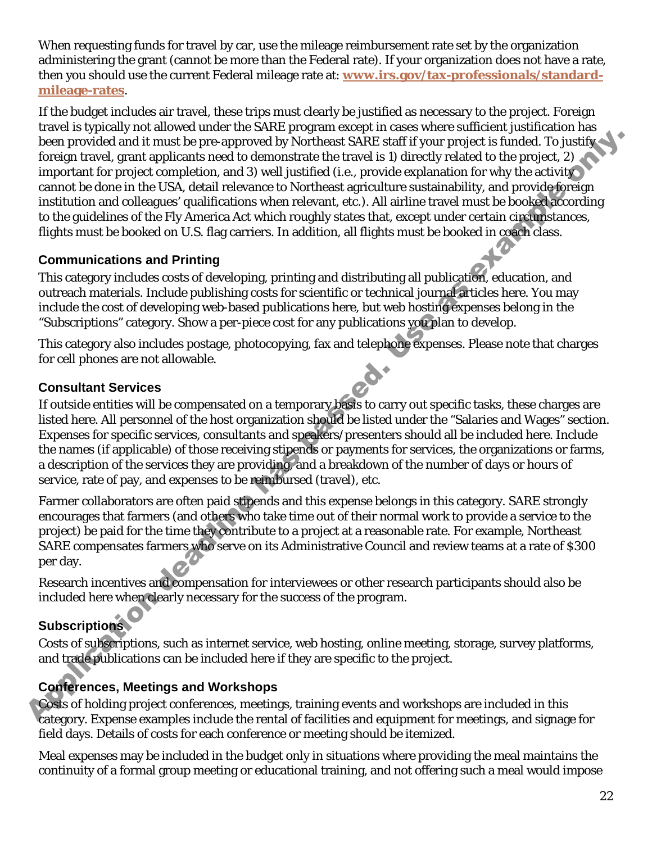When requesting funds for travel by car, use the mileage reimbursement rate set by the organization administering the grant (cannot be more than the Federal rate). If your organization does not have a rate, then you should use the current Federal mileage rate at: **[www.irs.gov/tax-professionals/standard](http://www.irs.gov/tax-professionals/standard-mileage-rates)[mileage-rates](http://www.irs.gov/tax-professionals/standard-mileage-rates)**.

If the budget includes air travel, these trips must clearly be justified as necessary to the project. Foreign travel is typically not allowed under the SARE program except in cases where sufficient justification has been provided and it must be pre-approved by Northeast SARE staff if your project is funded. To justify foreign travel, grant applicants need to demonstrate the travel is 1) directly related to the project, 2) important for project completion, and 3) well justified (i.e., provide explanation for why the activity cannot be done in the USA, detail relevance to Northeast agriculture sustainability, and provide foreign institution and colleagues' qualifications when relevant, etc.). All airline travel must be booked according to the guidelines of the Fly America Act which roughly states that, except under certain circumstances, flights must be booked on U.S. flag carriers. In addition, all flights must be booked in coach class. been provided and it must be pre-approved by Northeast SARE start if your project is function to pushing the successive of the project of the successive of the successive of the project content for project condition, and a

### **Communications and Printing**

This category includes costs of developing, printing and distributing all publication, education, and outreach materials. Include publishing costs for scientific or technical journal articles here. You may include the cost of developing web-based publications here, but web hosting expenses belong in the "Subscriptions" category. Show a per-piece cost for any publications you plan to develop.

This category also includes postage, photocopying, fax and telephone expenses. Please note that charges for cell phones are not allowable.

### **Consultant Services**

If outside entities will be compensated on a temporary basis to carry out specific tasks, these charges are listed here. All personnel of the host organization should be listed under the "Salaries and Wages" section. Expenses for specific services, consultants and speakers/presenters should all be included here. Include the names (if applicable) of those receiving stipends or payments for services, the organizations or farms, a description of the services they are providing, and a breakdown of the number of days or hours of service, rate of pay, and expenses to be reimbursed (travel), etc.

Farmer collaborators are often paid stipends and this expense belongs in this category. SARE strongly encourages that farmers (and others who take time out of their normal work to provide a service to the project) be paid for the time they contribute to a project at a reasonable rate. For example, Northeast SARE compensates farmers who serve on its Administrative Council and review teams at a rate of \$300 per day.

Research incentives and compensation for interviewees or other research participants should also be included here when clearly necessary for the success of the program.

# **Subscriptions**

Costs of subscriptions, such as internet service, web hosting, online meeting, storage, survey platforms, and trade publications can be included here if they are specific to the project.

# **Conferences, Meetings and Workshops**

Costs of holding project conferences, meetings, training events and workshops are included in this category. Expense examples include the rental of facilities and equipment for meetings, and signage for field days. Details of costs for each conference or meeting should be itemized.

Meal expenses may be included in the budget only in situations where providing the meal maintains the continuity of a formal group meeting or educational training, and not offering such a meal would impose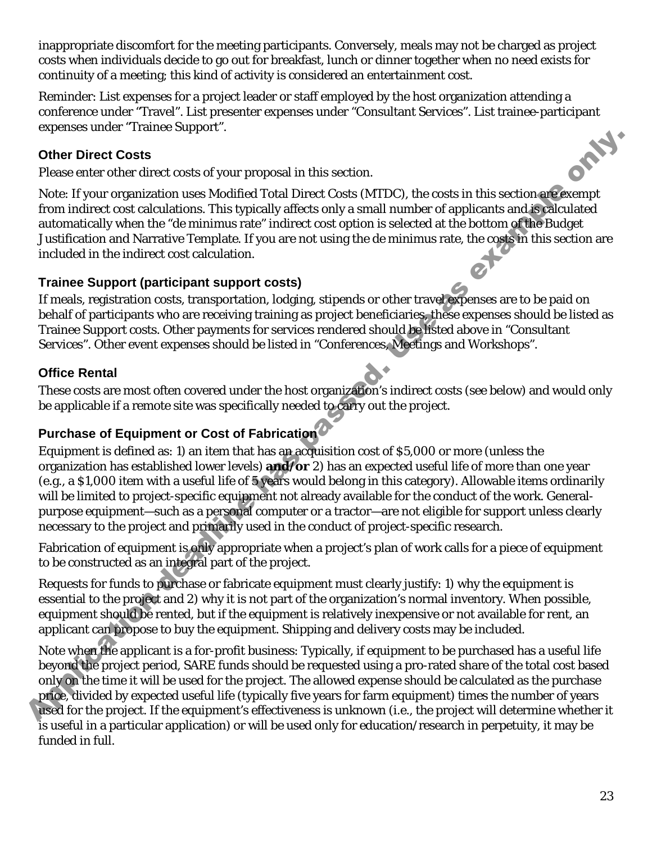inappropriate discomfort for the meeting participants. Conversely, meals may not be charged as project costs when individuals decide to go out for breakfast, lunch or dinner together when no need exists for continuity of a meeting; this kind of activity is considered an entertainment cost.

Reminder: List expenses for a project leader or staff employed by the host organization attending a conference under "Travel". List presenter expenses under "Consultant Services". List trainee-participant expenses under "Trainee Support".<br>
Other Direct Costs<br>
Please enter other direct costs of vour services expenses under "Trainee Support".

### **Other Direct Costs**

Please enter other direct costs of your proposal in this section.

Note: If your organization uses Modified Total Direct Costs (MTDC), the costs in this section are exempt from indirect cost calculations. This typically affects only a small number of applicants and is calculated automatically when the "*de minimus* rate" indirect cost option is selected at the bottom of the Budget Justification and Narrative Template. If you are not using the *de minimus* rate, the costs in this section are included in the indirect cost calculation.

#### **Trainee Support (participant support costs)**

If meals, registration costs, transportation, lodging, stipends or other travel expenses are to be paid on behalf of participants who are receiving training as project beneficiaries, these expenses should be listed as Trainee Support costs. Other payments for services rendered should be listed above in "Consultant Services". Other event expenses should be listed in "Conferences, Meetings and Workshops".

#### **Office Rental**

These costs are most often covered under the host organization's indirect costs (see below) and would only be applicable if a remote site was specifically needed to carry out the project.

### **Purchase of Equipment or Cost of Fabrication**

Equipment is defined as: 1) an item that has an acquisition cost of \$5,000 or more (unless the organization has established lower levels) **and/or** 2) has an expected useful life of more than one year (e.g., a \$1,000 item with a useful life of 5 years would belong in this category). Allowable items ordinarily will be limited to project-specific equipment not already available for the conduct of the work. Generalpurpose equipment—such as a personal computer or a tractor—are not eligible for support unless clearly necessary to the project and primarily used in the conduct of project-specific research. **Other Direct Costs**<br> **Charge the direct costs of your proposal in this section,**<br>
Note: If your regards<br>that the regard in the section of the proposal in the section of the costs in this section applicants and<br>
from indir

Fabrication of equipment is only appropriate when a project's plan of work calls for a piece of equipment to be constructed as an integral part of the project.

Requests for funds to purchase or fabricate equipment must clearly justify: 1) why the equipment is essential to the project and 2) why it is not part of the organization's normal inventory. When possible, equipment should be rented, but if the equipment is relatively inexpensive or not available for rent, an applicant can propose to buy the equipment. Shipping and delivery costs may be included.

Note when the applicant is a for-profit business: Typically, if equipment to be purchased has a useful life beyond the project period, SARE funds should be requested using a pro-rated share of the total cost based only on the time it will be used for the project. The allowed expense should be calculated as the purchase price, divided by expected useful life (typically five years for farm equipment) times the number of years used for the project. If the equipment's effectiveness is unknown (i.e., the project will determine whether it is useful in a particular application) or will be used only for education/research in perpetuity, it may be funded in full.